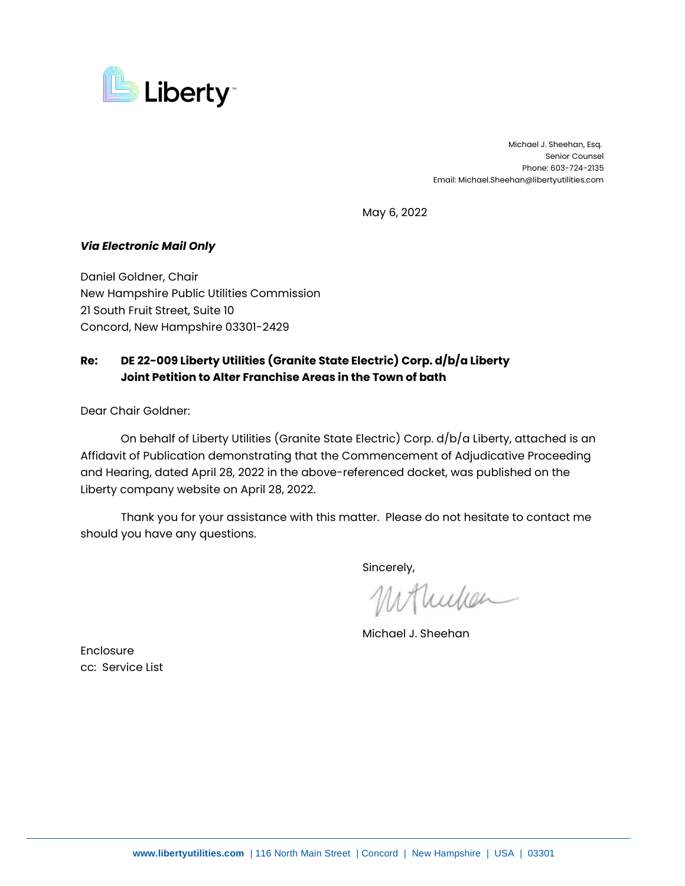

 Michael J. Sheehan, Esq. Senior Counsel Phone: 603-724-2135 Email: Michael.Sheehan@libertyutilities.com

May 6, 2022

## *Via Electronic Mail Only*

Daniel Goldner, Chair New Hampshire Public Utilities Commission 21 South Fruit Street, Suite 10 Concord, New Hampshire 03301-2429

## **Re: DE 22-009 Liberty Utilities (Granite State Electric) Corp. d/b/a Liberty Joint Petition to Alter Franchise Areas in the Town of bath**

Dear Chair Goldner:

On behalf of Liberty Utilities (Granite State Electric) Corp. d/b/a Liberty, attached is an Affidavit of Publication demonstrating that the Commencement of Adjudicative Proceeding and Hearing, dated April 28, 2022 in the above-referenced docket, was published on the Liberty company website on April 28, 2022.

Thank you for your assistance with this matter. Please do not hesitate to contact me should you have any questions.

Sincerely,

Mullen

Michael J. Sheehan

**Enclosure** cc: Service List